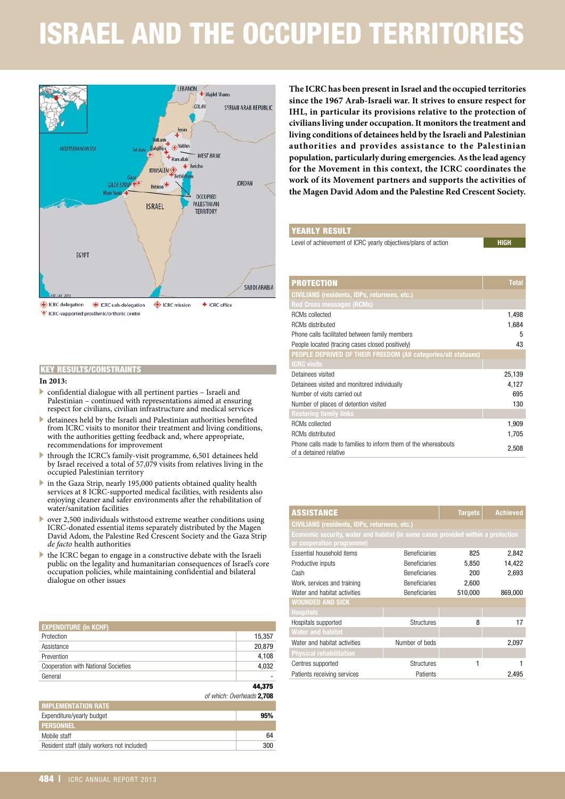# ISRAEL AND THE OCCUPIED TERRITORIES



#### **In 2013:**

- . confidential dialogue with all pertinent parties Israeli and Palestinian – continued with representations aimed at ensuring respect for civilians, civilian infrastructure and medical services
- . detainees held by the Israeli and Palestinian authorities benefited from ICRC visits to monitor their treatment and living conditions, with the authorities getting feedback and, where appropriate, recommendations for improvement
- . through the ICRC's family-visit programme, 6,501 detainees held by Israel received a total of 57,079 visits from relatives living in the occupied Palestinian territory
- . in the Gaza Strip, nearly 195,000 patients obtained quality health services at 8 ICRC-supported medical facilities, with residents also enjoying cleaner and safer environments after the rehabilitation of water/sanitation facilities
- . over 2,500 individuals withstood extreme weather conditions using ICRC-donated essential items separately distributed by the Magen David Adom, the Palestine Red Crescent Society and the Gaza Strip *de facto* health authorities
- $\blacktriangleright$  the ICRC began to engage in a constructive debate with the Israeli public on the legality and humanitarian consequences of Israel's core occupation policies, while maintaining confidential and bilateral dialogue on other issues

| KEY RESULTS/CONSTRAINTS                                                                                                                                                                                                                          |                           |  |
|--------------------------------------------------------------------------------------------------------------------------------------------------------------------------------------------------------------------------------------------------|---------------------------|--|
| In 2013:                                                                                                                                                                                                                                         |                           |  |
| confidential dialogue with all pertinent parties - Israeli and<br>Palestinian – continued with representations aimed at ensuring<br>respect for civilians, civilian infrastructure and medical services                                          |                           |  |
| detainees held by the Israeli and Palestinian authorities benefited<br>from ICRC visits to monitor their treatment and living conditions,<br>with the authorities getting feedback and, where appropriate,<br>recommendations for improvement    |                           |  |
| through the ICRC's family-visit programme, 6,501 detainees held<br>by Israel received a total of 57,079 visits from relatives living in the<br>occupied Palestinian territory                                                                    |                           |  |
| in the Gaza Strip, nearly 195,000 patients obtained quality health<br>services at 8 ICRC-supported medical facilities, with residents also<br>enjoying cleaner and safer environments after the rehabilitation of<br>water/sanitation facilities |                           |  |
| over 2,500 individuals withstood extreme weather conditions using<br>ICRC-donated essential items separately distributed by the Magen<br>David Adom, the Palestine Red Crescent Society and the Gaza Strip<br>de facto health authorities        |                           |  |
| the ICRC began to engage in a constructive debate with the Israeli<br>public on the legality and humanitarian consequences of Israel's core<br>occupation policies, while maintaining confidential and bilateral<br>dialogue on other issues     |                           |  |
| <b>EXPENDITURE (in KCHF)</b>                                                                                                                                                                                                                     |                           |  |
| Protection                                                                                                                                                                                                                                       | 15,357                    |  |
| Assistance                                                                                                                                                                                                                                       | 20,879                    |  |
| Prevention                                                                                                                                                                                                                                       | 4,108                     |  |
| Cooperation with National Societies                                                                                                                                                                                                              | 4,032                     |  |
| General                                                                                                                                                                                                                                          |                           |  |
|                                                                                                                                                                                                                                                  | 44,375                    |  |
|                                                                                                                                                                                                                                                  | of which: Overheads 2,708 |  |
| <b>IMPLEMENTATION RATE</b>                                                                                                                                                                                                                       |                           |  |
| Expenditure/yearly budget                                                                                                                                                                                                                        | 95%                       |  |
| <b>PERSONNEL</b>                                                                                                                                                                                                                                 |                           |  |
| Mobile staff                                                                                                                                                                                                                                     | 64                        |  |
| Resident staff (daily workers not included)                                                                                                                                                                                                      | 300                       |  |
|                                                                                                                                                                                                                                                  |                           |  |
| 184<br>ICRC ANNUAL REPORT 2013                                                                                                                                                                                                                   |                           |  |

| <b>IMPLEMENTATION RATE</b>                         |
|----------------------------------------------------|
|                                                    |
| Expenditure/yearly budget<br>95%                   |
| <b>PERSONNEL</b>                                   |
| Mobile staff<br>64                                 |
| Resident staff (daily workers not included)<br>300 |

**The ICRC has been present in Israel and the occupied territories since the 1967 Arab-Israeli war. It strives to ensure respect for IHL, in particular its provisions relative to the protection of civilians living under occupation. It monitors the treatment and living conditions of detainees held by the Israeli and Palestinian authorities and provides assistance to the Palestinian population, particularly during emergencies. As the lead agency for the Movement in this context, the ICRC coordinates the work of its Movement partners and supports the activities of the Magen David Adom and the Palestine Red Crescent Society.**

#### YEARLY RESULT

Level of achievement of ICRC yearly objectives/plans of action

| <b>PROTECTION</b>                                                                        | <b>Total</b> |
|------------------------------------------------------------------------------------------|--------------|
| <b>CIVILIANS</b> (residents, IDPs, returnees, etc.)                                      |              |
| <b>Red Cross messages (RCMs)</b>                                                         |              |
| RCMs collected                                                                           | 1,498        |
| <b>RCMs distributed</b>                                                                  | 1,684        |
| Phone calls facilitated between family members                                           | 5            |
| People located (tracing cases closed positively)                                         | 43           |
| <b>PEOPLE DEPRIVED OF THEIR FREEDOM (All categories/all statuses)</b>                    |              |
| <b>ICRC</b> visits                                                                       |              |
| Detainees visited                                                                        | 25,139       |
| Detainees visited and monitored individually                                             | 4.127        |
| Number of visits carried out                                                             | 695          |
| Number of places of detention visited                                                    | 130          |
| <b>Restoring family links</b>                                                            |              |
| <b>RCMs</b> collected                                                                    | 1,909        |
| <b>RCMs distributed</b>                                                                  | 1,705        |
| Phone calls made to families to inform them of the whereabouts<br>of a detained relative | 2,508        |

| <b>ASSISTANCE</b>                                                                |                      | <b>Targets</b> | <b>Achieved</b> |  |
|----------------------------------------------------------------------------------|----------------------|----------------|-----------------|--|
| <b>CIVILIANS (residents, IDPs, returnees, etc.)</b>                              |                      |                |                 |  |
| Economic security, water and habitat (in some cases provided within a protection |                      |                |                 |  |
| or cooperation programme)                                                        |                      |                |                 |  |
| Essential household items                                                        | <b>Beneficiaries</b> | 825            | 2,842           |  |
| Productive inputs                                                                | <b>Beneficiaries</b> | 5,850          | 14,422          |  |
| Cash                                                                             | <b>Beneficiaries</b> | 200            | 2,693           |  |
| Work, services and training                                                      | <b>Beneficiaries</b> | 2,600          |                 |  |
| Water and habitat activities                                                     | <b>Beneficiaries</b> | 510,000        | 869,000         |  |
| <b>WOUNDED AND SICK</b>                                                          |                      |                |                 |  |
| <b>Hospitals</b>                                                                 |                      |                |                 |  |
| Hospitals supported                                                              | <b>Structures</b>    | 8              | 17              |  |
| <b>Water and habitat</b>                                                         |                      |                |                 |  |
| Water and habitat activities                                                     | Number of beds       |                | 2,097           |  |
| <b>Physical rehabilitation</b>                                                   |                      |                |                 |  |
| Centres supported                                                                | <b>Structures</b>    | 1              |                 |  |
| Patients receiving services                                                      | Patients             |                | 2,495           |  |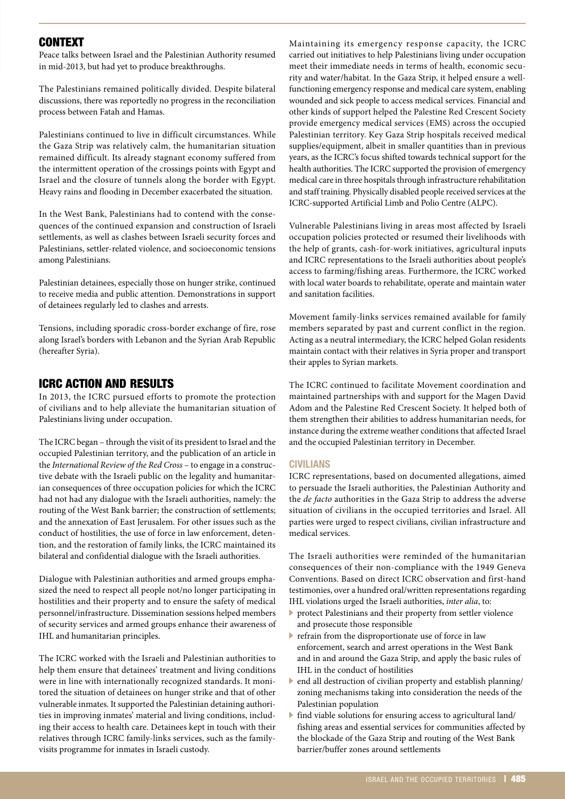# **CONTEXT**

Peace talks between Israel and the Palestinian Authority resumed in mid-2013, but had yet to produce breakthroughs.

The Palestinians remained politically divided. Despite bilateral discussions, there was reportedly no progress in the reconciliation process between Fatah and Hamas.

Palestinians continued to live in difficult circumstances. While the Gaza Strip was relatively calm, the humanitarian situation remained difficult. Its already stagnant economy suffered from the intermittent operation of the crossings points with Egypt and Israel and the closure of tunnels along the border with Egypt. Heavy rains and flooding in December exacerbated the situation.

In the West Bank, Palestinians had to contend with the consequences of the continued expansion and construction of Israeli settlements, as well as clashes between Israeli security forces and Palestinians, settler-related violence, and socioeconomic tensions among Palestinians.

Palestinian detainees, especially those on hunger strike, continued to receive media and public attention. Demonstrations in support of detainees regularly led to clashes and arrests.

Tensions, including sporadic cross-border exchange of fire, rose along Israel's borders with Lebanon and the Syrian Arab Republic (hereafter Syria).

# ICRC ACTION AND RESULTS

In 2013, the ICRC pursued efforts to promote the protection of civilians and to help alleviate the humanitarian situation of Palestinians living under occupation.

The ICRC began – through the visit of its president to Israel and the occupied Palestinian territory, and the publication of an article in the *International Review of the Red Cross* – to engage in a constructive debate with the Israeli public on the legality and humanitarian consequences of three occupation policies for which the ICRC had not had any dialogue with the Israeli authorities, namely: the routing of the West Bank barrier; the construction of settlements; and the annexation of East Jerusalem. For other issues such as the conduct of hostilities, the use of force in law enforcement, detention, and the restoration of family links, the ICRC maintained its bilateral and confidential dialogue with the Israeli authorities.

Dialogue with Palestinian authorities and armed groups emphasized the need to respect all people not/no longer participating in hostilities and their property and to ensure the safety of medical personnel/infrastructure. Dissemination sessions helped members of security services and armed groups enhance their awareness of IHL and humanitarian principles.

The ICRC worked with the Israeli and Palestinian authorities to help them ensure that detainees' treatment and living conditions were in line with internationally recognized standards. It monitored the situation of detainees on hunger strike and that of other vulnerable inmates. It supported the Palestinian detaining authorities in improving inmates' material and living conditions, including their access to health care. Detainees kept in touch with their relatives through ICRC family-links services, such as the familyvisits programme for inmates in Israeli custody.

Maintaining its emergency response capacity, the ICRC carried out initiatives to help Palestinians living under occupation meet their immediate needs in terms of health, economic security and water/habitat. In the Gaza Strip, it helped ensure a wellfunctioning emergency response and medical care system, enabling wounded and sick people to access medical services. Financial and other kinds of support helped the Palestine Red Crescent Society provide emergency medical services (EMS) across the occupied Palestinian territory. Key Gaza Strip hospitals received medical supplies/equipment, albeit in smaller quantities than in previous years, as the ICRC's focus shifted towards technical support for the health authorities. The ICRC supported the provision of emergency medical care in three hospitals through infrastructure rehabilitation and staff training. Physically disabled people received services at the ICRC-supported Artificial Limb and Polio Centre (ALPC).

Vulnerable Palestinians living in areas most affected by Israeli occupation policies protected or resumed their livelihoods with the help of grants, cash-for-work initiatives, agricultural inputs and ICRC representations to the Israeli authorities about people's access to farming/fishing areas. Furthermore, the ICRC worked with local water boards to rehabilitate, operate and maintain water and sanitation facilities.

Movement family-links services remained available for family members separated by past and current conflict in the region. Acting as a neutral intermediary, the ICRC helped Golan residents maintain contact with their relatives in Syria proper and transport their apples to Syrian markets.

The ICRC continued to facilitate Movement coordination and maintained partnerships with and support for the Magen David Adom and the Palestine Red Crescent Society. It helped both of them strengthen their abilities to address humanitarian needs, for instance during the extreme weather conditions that affected Israel and the occupied Palestinian territory in December.

#### **CIVILIANS**

ICRC representations, based on documented allegations, aimed to persuade the Israeli authorities, the Palestinian Authority and the *de facto* authorities in the Gaza Strip to address the adverse situation of civilians in the occupied territories and Israel. All parties were urged to respect civilians, civilian infrastructure and medical services.

The Israeli authorities were reminded of the humanitarian consequences of their non-compliance with the 1949 Geneva Conventions. Based on direct ICRC observation and first-hand testimonies, over a hundred oral/written representations regarding IHL violations urged the Israeli authorities, *inter alia*, to:

- . protect Palestinians and their property from settler violence and prosecute those responsible
- $\blacktriangleright$  refrain from the disproportionate use of force in law enforcement, search and arrest operations in the West Bank and in and around the Gaza Strip, and apply the basic rules of IHL in the conduct of hostilities
- $\blacktriangleright$  end all destruction of civilian property and establish planning/ zoning mechanisms taking into consideration the needs of the Palestinian population
- . find viable solutions for ensuring access to agricultural land/ fishing areas and essential services for communities affected by the blockade of the Gaza Strip and routing of the West Bank barrier/buffer zones around settlements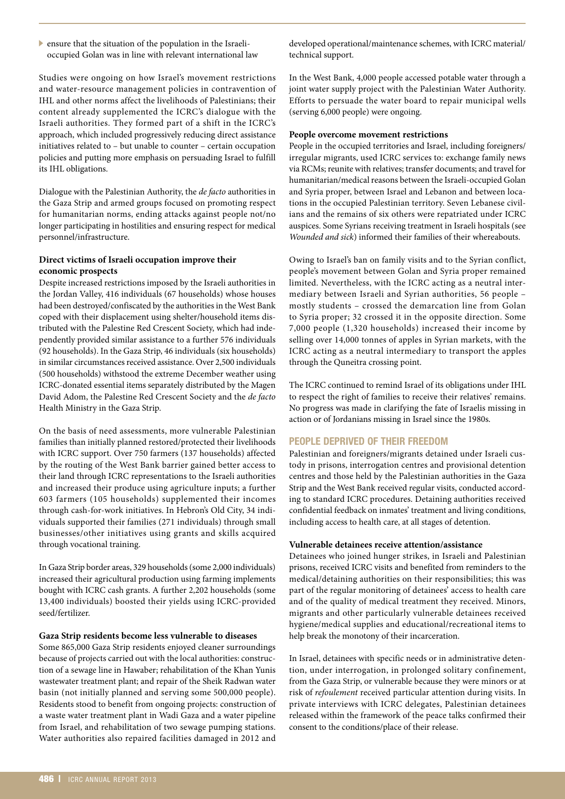$\blacktriangleright$  ensure that the situation of the population in the Israelioccupied Golan was in line with relevant international law

Studies were ongoing on how Israel's movement restrictions and water-resource management policies in contravention of IHL and other norms affect the livelihoods of Palestinians; their content already supplemented the ICRC's dialogue with the Israeli authorities. They formed part of a shift in the ICRC's approach, which included progressively reducing direct assistance initiatives related to – but unable to counter – certain occupation policies and putting more emphasis on persuading Israel to fulfill its IHL obligations.

Dialogue with the Palestinian Authority, the *de facto* authorities in the Gaza Strip and armed groups focused on promoting respect for humanitarian norms, ending attacks against people not/no longer participating in hostilities and ensuring respect for medical personnel/infrastructure.

### **Direct victims of Israeli occupation improve their economic prospects**

Despite increased restrictions imposed by the Israeli authorities in the Jordan Valley, 416 individuals (67 households) whose houses had been destroyed/confiscated by the authorities in the West Bank coped with their displacement using shelter/household items distributed with the Palestine Red Crescent Society, which had independently provided similar assistance to a further 576 individuals (92 households). In the Gaza Strip, 46 individuals (six households) in similar circumstances received assistance. Over 2,500 individuals (500 households) withstood the extreme December weather using ICRC-donated essential items separately distributed by the Magen David Adom, the Palestine Red Crescent Society and the *de facto* Health Ministry in the Gaza Strip.

On the basis of need assessments, more vulnerable Palestinian families than initially planned restored/protected their livelihoods with ICRC support. Over 750 farmers (137 households) affected by the routing of the West Bank barrier gained better access to their land through ICRC representations to the Israeli authorities and increased their produce using agriculture inputs; a further 603 farmers (105 households) supplemented their incomes through cash-for-work initiatives. In Hebron's Old City, 34 individuals supported their families (271 individuals) through small businesses/other initiatives using grants and skills acquired through vocational training.

In Gaza Strip border areas, 329 households (some 2,000 individuals) increased their agricultural production using farming implements bought with ICRC cash grants. A further 2,202 households (some 13,400 individuals) boosted their yields using ICRC-provided seed/fertilizer.

#### **Gaza Strip residents become less vulnerable to diseases**

Some 865,000 Gaza Strip residents enjoyed cleaner surroundings because of projects carried out with the local authorities: construction of a sewage line in Hawaber; rehabilitation of the Khan Yunis wastewater treatment plant; and repair of the Sheik Radwan water basin (not initially planned and serving some 500,000 people). Residents stood to benefit from ongoing projects: construction of a waste water treatment plant in Wadi Gaza and a water pipeline from Israel, and rehabilitation of two sewage pumping stations. Water authorities also repaired facilities damaged in 2012 and developed operational/maintenance schemes, with ICRC material/ technical support.

In the West Bank, 4,000 people accessed potable water through a joint water supply project with the Palestinian Water Authority. Efforts to persuade the water board to repair municipal wells (serving 6,000 people) were ongoing.

#### **People overcome movement restrictions**

People in the occupied territories and Israel, including foreigners/ irregular migrants, used ICRC services to: exchange family news via RCMs; reunite with relatives; transfer documents; and travel for humanitarian/medical reasons between the Israeli-occupied Golan and Syria proper, between Israel and Lebanon and between locations in the occupied Palestinian territory. Seven Lebanese civilians and the remains of six others were repatriated under ICRC auspices. Some Syrians receiving treatment in Israeli hospitals (see *Wounded and sick*) informed their families of their whereabouts.

Owing to Israel's ban on family visits and to the Syrian conflict, people's movement between Golan and Syria proper remained limited. Nevertheless, with the ICRC acting as a neutral intermediary between Israeli and Syrian authorities, 56 people – mostly students – crossed the demarcation line from Golan to Syria proper; 32 crossed it in the opposite direction. Some 7,000 people (1,320 households) increased their income by selling over 14,000 tonnes of apples in Syrian markets, with the ICRC acting as a neutral intermediary to transport the apples through the Quneitra crossing point.

The ICRC continued to remind Israel of its obligations under IHL to respect the right of families to receive their relatives' remains. No progress was made in clarifying the fate of Israelis missing in action or of Jordanians missing in Israel since the 1980s.

#### **PEOPLE DEPRIVED OF THEIR FREEDOM**

Palestinian and foreigners/migrants detained under Israeli custody in prisons, interrogation centres and provisional detention centres and those held by the Palestinian authorities in the Gaza Strip and the West Bank received regular visits, conducted according to standard ICRC procedures. Detaining authorities received confidential feedback on inmates' treatment and living conditions, including access to health care, at all stages of detention.

#### **Vulnerable detainees receive attention/assistance**

Detainees who joined hunger strikes, in Israeli and Palestinian prisons, received ICRC visits and benefited from reminders to the medical/detaining authorities on their responsibilities; this was part of the regular monitoring of detainees' access to health care and of the quality of medical treatment they received. Minors, migrants and other particularly vulnerable detainees received hygiene/medical supplies and educational/recreational items to help break the monotony of their incarceration.

In Israel, detainees with specific needs or in administrative detention, under interrogation, in prolonged solitary confinement, from the Gaza Strip, or vulnerable because they were minors or at risk of *refoulement* received particular attention during visits. In private interviews with ICRC delegates, Palestinian detainees released within the framework of the peace talks confirmed their consent to the conditions/place of their release.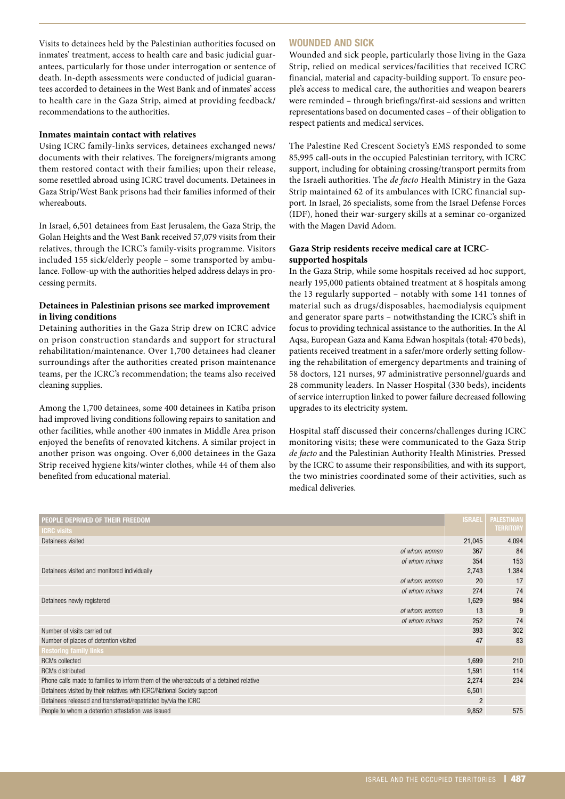Visits to detainees held by the Palestinian authorities focused on inmates' treatment, access to health care and basic judicial guarantees, particularly for those under interrogation or sentence of death. In-depth assessments were conducted of judicial guarantees accorded to detainees in the West Bank and of inmates' access to health care in the Gaza Strip, aimed at providing feedback/ recommendations to the authorities.

#### **Inmates maintain contact with relatives**

Using ICRC family-links services, detainees exchanged news/ documents with their relatives. The foreigners/migrants among them restored contact with their families; upon their release, some resettled abroad using ICRC travel documents. Detainees in Gaza Strip/West Bank prisons had their families informed of their whereabouts.

In Israel, 6,501 detainees from East Jerusalem, the Gaza Strip, the Golan Heights and the West Bank received 57,079 visits from their relatives, through the ICRC's family-visits programme. Visitors included 155 sick/elderly people – some transported by ambulance. Follow-up with the authorities helped address delays in processing permits.

#### **Detainees in Palestinian prisons see marked improvement in living conditions**

Detaining authorities in the Gaza Strip drew on ICRC advice on prison construction standards and support for structural rehabilitation/maintenance. Over 1,700 detainees had cleaner surroundings after the authorities created prison maintenance teams, per the ICRC's recommendation; the teams also received cleaning supplies.

Among the 1,700 detainees, some 400 detainees in Katiba prison had improved living conditions following repairs to sanitation and other facilities, while another 400 inmates in Middle Area prison enjoyed the benefits of renovated kitchens. A similar project in another prison was ongoing. Over 6,000 detainees in the Gaza Strip received hygiene kits/winter clothes, while 44 of them also benefited from educational material.

#### **WOUNDED AND SICK**

Wounded and sick people, particularly those living in the Gaza Strip, relied on medical services/facilities that received ICRC financial, material and capacity-building support. To ensure people's access to medical care, the authorities and weapon bearers were reminded – through briefings/first-aid sessions and written representations based on documented cases – of their obligation to respect patients and medical services.

The Palestine Red Crescent Society's EMS responded to some 85,995 call-outs in the occupied Palestinian territory, with ICRC support, including for obtaining crossing/transport permits from the Israeli authorities. The *de facto* Health Ministry in the Gaza Strip maintained 62 of its ambulances with ICRC financial support. In Israel, 26 specialists, some from the Israel Defense Forces (IDF), honed their war-surgery skills at a seminar co-organized with the Magen David Adom.

### **Gaza Strip residents receive medical care at ICRCsupported hospitals**

In the Gaza Strip, while some hospitals received ad hoc support, nearly 195,000 patients obtained treatment at 8 hospitals among the 13 regularly supported – notably with some 141 tonnes of material such as drugs/disposables, haemodialysis equipment and generator spare parts – notwithstanding the ICRC's shift in focus to providing technical assistance to the authorities. In the Al Aqsa, European Gaza and Kama Edwan hospitals (total: 470 beds), patients received treatment in a safer/more orderly setting following the rehabilitation of emergency departments and training of 58 doctors, 121 nurses, 97 administrative personnel/guards and 28 community leaders. In Nasser Hospital (330 beds), incidents of service interruption linked to power failure decreased following upgrades to its electricity system.

Hospital staff discussed their concerns/challenges during ICRC monitoring visits; these were communicated to the Gaza Strip *de facto* and the Palestinian Authority Health Ministries. Pressed by the ICRC to assume their responsibilities, and with its support, the two ministries coordinated some of their activities, such as medical deliveries.

| People deprived of their freedom                                                      | <b>ISRAEL</b>  | <b>PALESTINIAN</b> |
|---------------------------------------------------------------------------------------|----------------|--------------------|
| <b>ICRC visits</b>                                                                    |                | <b>TERRITORY</b>   |
| Detainees visited                                                                     | 21,045         | 4,094              |
| of whom women                                                                         | 367            | 84                 |
| of whom minors                                                                        | 354            | 153                |
| Detainees visited and monitored individually                                          | 2,743          | 1,384              |
| of whom women                                                                         | 20             | 17                 |
| of whom minors                                                                        | 274            | 74                 |
| Detainees newly registered                                                            | 1,629          | 984                |
| of whom women                                                                         | 13             | 9                  |
| of whom minors                                                                        | 252            | 74                 |
| Number of visits carried out                                                          | 393            | 302                |
| Number of places of detention visited                                                 | 47             | 83                 |
| <b>Restoring family links</b>                                                         |                |                    |
| <b>RCMs</b> collected                                                                 | 1,699          | 210                |
| <b>RCMs distributed</b>                                                               | 1,591          | 114                |
| Phone calls made to families to inform them of the whereabouts of a detained relative | 2,274          | 234                |
| Detainees visited by their relatives with ICRC/National Society support               | 6,501          |                    |
| Detainees released and transferred/repatriated by/via the ICRC                        | $\overline{2}$ |                    |
| People to whom a detention attestation was issued                                     | 9,852          | 575                |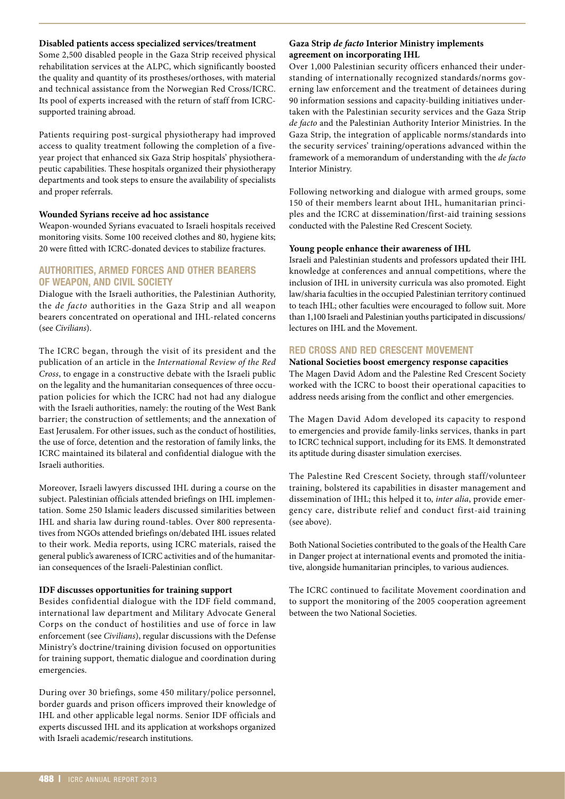#### **Disabled patients access specialized services/treatment**

Some 2,500 disabled people in the Gaza Strip received physical rehabilitation services at the ALPC, which significantly boosted the quality and quantity of its prostheses/orthoses, with material and technical assistance from the Norwegian Red Cross/ICRC. Its pool of experts increased with the return of staff from ICRCsupported training abroad.

Patients requiring post-surgical physiotherapy had improved access to quality treatment following the completion of a fiveyear project that enhanced six Gaza Strip hospitals' physiotherapeutic capabilities. These hospitals organized their physiotherapy departments and took steps to ensure the availability of specialists and proper referrals.

# **Wounded Syrians receive ad hoc assistance**

Weapon-wounded Syrians evacuated to Israeli hospitals received monitoring visits. Some 100 received clothes and 80, hygiene kits; 20 were fitted with ICRC-donated devices to stabilize fractures.

# **AUTHORITIES, ARMED FORCES AND OTHER BEARERS OF WEAPON, AND CIVIL SOCIETY**

Dialogue with the Israeli authorities, the Palestinian Authority, the *de facto* authorities in the Gaza Strip and all weapon bearers concentrated on operational and IHL-related concerns (see *Civilians*).

The ICRC began, through the visit of its president and the publication of an article in the *International Review of the Red Cross*, to engage in a constructive debate with the Israeli public on the legality and the humanitarian consequences of three occupation policies for which the ICRC had not had any dialogue with the Israeli authorities, namely: the routing of the West Bank barrier; the construction of settlements; and the annexation of East Jerusalem. For other issues, such as the conduct of hostilities, the use of force, detention and the restoration of family links, the ICRC maintained its bilateral and confidential dialogue with the Israeli authorities.

Moreover, Israeli lawyers discussed IHL during a course on the subject. Palestinian officials attended briefings on IHL implementation. Some 250 Islamic leaders discussed similarities between IHL and sharia law during round-tables. Over 800 representatives from NGOs attended briefings on/debated IHL issues related to their work. Media reports, using ICRC materials, raised the general public's awareness of ICRC activities and of the humanitarian consequences of the Israeli-Palestinian conflict.

# **IDF discusses opportunities for training support**

Besides confidential dialogue with the IDF field command, international law department and Military Advocate General Corps on the conduct of hostilities and use of force in law enforcement (see *Civilians*), regular discussions with the Defense Ministry's doctrine/training division focused on opportunities for training support, thematic dialogue and coordination during emergencies.

During over 30 briefings, some 450 military/police personnel, border guards and prison officers improved their knowledge of IHL and other applicable legal norms. Senior IDF officials and experts discussed IHL and its application at workshops organized with Israeli academic/research institutions.

## **Gaza Strip** *de facto* **Interior Ministry implements agreement on incorporating IHL**

Over 1,000 Palestinian security officers enhanced their understanding of internationally recognized standards/norms governing law enforcement and the treatment of detainees during 90 information sessions and capacity-building initiatives undertaken with the Palestinian security services and the Gaza Strip *de facto* and the Palestinian Authority Interior Ministries. In the Gaza Strip, the integration of applicable norms/standards into the security services' training/operations advanced within the framework of a memorandum of understanding with the *de facto* Interior Ministry.

Following networking and dialogue with armed groups, some 150 of their members learnt about IHL, humanitarian principles and the ICRC at dissemination/first-aid training sessions conducted with the Palestine Red Crescent Society.

# **Young people enhance their awareness of IHL**

Israeli and Palestinian students and professors updated their IHL knowledge at conferences and annual competitions, where the inclusion of IHL in university curricula was also promoted. Eight law/sharia faculties in the occupied Palestinian territory continued to teach IHL; other faculties were encouraged to follow suit. More than 1,100 Israeli and Palestinian youths participated in discussions/ lectures on IHL and the Movement.

# **RED CROSS AND RED CRESCENT MOVEMENT**

**National Societies boost emergency response capacities** The Magen David Adom and the Palestine Red Crescent Society worked with the ICRC to boost their operational capacities to address needs arising from the conflict and other emergencies.

The Magen David Adom developed its capacity to respond to emergencies and provide family-links services, thanks in part to ICRC technical support, including for its EMS. It demonstrated its aptitude during disaster simulation exercises.

The Palestine Red Crescent Society, through staff/volunteer training, bolstered its capabilities in disaster management and dissemination of IHL; this helped it to, *inter alia*, provide emergency care, distribute relief and conduct first-aid training (see above).

Both National Societies contributed to the goals of the Health Care in Danger project at international events and promoted the initiative, alongside humanitarian principles, to various audiences.

The ICRC continued to facilitate Movement coordination and to support the monitoring of the 2005 cooperation agreement between the two National Societies.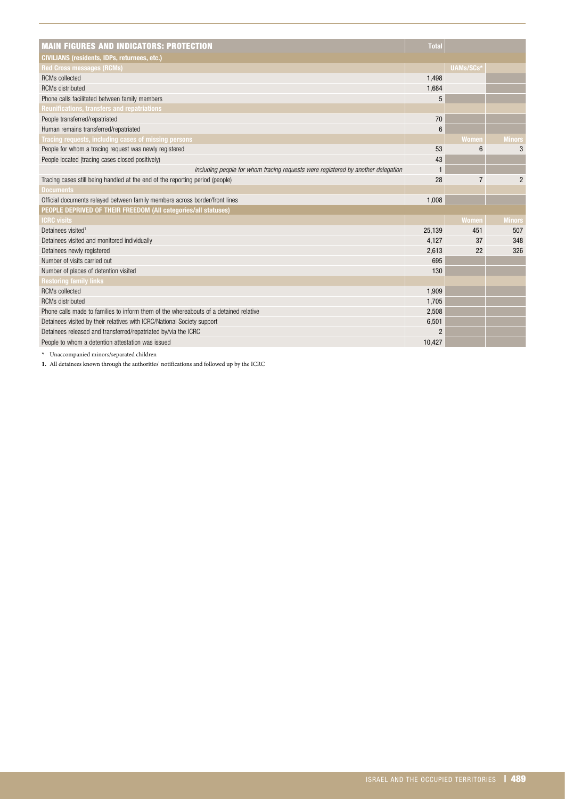| <b>MAIN FIGURES AND INDICATORS: PROTECTION</b>                                        | <b>Total</b>    |                |                |
|---------------------------------------------------------------------------------------|-----------------|----------------|----------------|
| <b>CIVILIANS (residents, IDPs, returnees, etc.)</b>                                   |                 |                |                |
| <b>Red Cross messages (RCMs)</b>                                                      |                 | UAMs/SCs*      |                |
| <b>RCMs</b> collected                                                                 | 1,498           |                |                |
| <b>RCMs</b> distributed                                                               | 1,684           |                |                |
| Phone calls facilitated between family members                                        | 5               |                |                |
| Reunifications, transfers and repatriations                                           |                 |                |                |
| People transferred/repatriated                                                        | 70              |                |                |
| Human remains transferred/repatriated                                                 | $6\phantom{1}6$ |                |                |
| Tracing requests, including cases of missing persons                                  |                 | Women          | <b>Minors</b>  |
| People for whom a tracing request was newly registered                                | 53              | 6              | 3              |
| People located (tracing cases closed positively)                                      | 43              |                |                |
| including people for whom tracing requests were registered by another delegation      | $\mathbf{1}$    |                |                |
| Tracing cases still being handled at the end of the reporting period (people)         | 28              | $\overline{7}$ | $\overline{2}$ |
| <b>Documents</b>                                                                      |                 |                |                |
| Official documents relayed between family members across border/front lines           | 1,008           |                |                |
| PEOPLE DEPRIVED OF THEIR FREEDOM (All categories/all statuses)                        |                 |                |                |
| <b>ICRC visits</b>                                                                    |                 | <b>Women</b>   | <b>Minors</b>  |
| Detainees visited <sup>1</sup>                                                        | 25,139          | 451            | 507            |
| Detainees visited and monitored individually                                          | 4,127           | 37             | 348            |
| Detainees newly registered                                                            | 2,613           | 22             | 326            |
| Number of visits carried out                                                          | 695             |                |                |
| Number of places of detention visited                                                 | 130             |                |                |
| <b>Restoring family links</b>                                                         |                 |                |                |
| <b>RCMs</b> collected                                                                 | 1,909           |                |                |
| <b>RCMs distributed</b>                                                               | 1,705           |                |                |
| Phone calls made to families to inform them of the whereabouts of a detained relative | 2,508           |                |                |
| Detainees visited by their relatives with ICRC/National Society support               | 6,501           |                |                |
| Detainees released and transferred/repatriated by/via the ICRC                        | $\overline{2}$  |                |                |
| People to whom a detention attestation was issued                                     | 10.427          |                |                |

**\*** Unaccompanied minors/separated children

**1.** All detainees known through the authorities' notifications and followed up by the ICRC